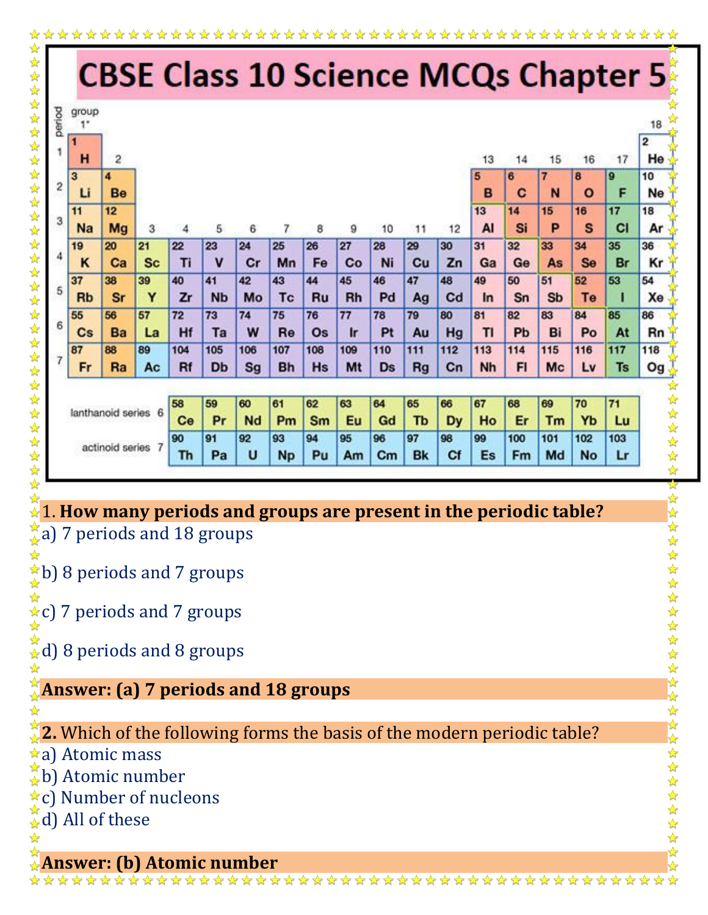|                        |                        |                         |                |          |                 |           |           |          |          | <b>CBSE Class 10 Science MCQs Chapter 5</b> |           |          |          |          |           |          |           |                               |
|------------------------|------------------------|-------------------------|----------------|----------|-----------------|-----------|-----------|----------|----------|---------------------------------------------|-----------|----------|----------|----------|-----------|----------|-----------|-------------------------------|
|                        | group                  |                         |                |          |                 |           |           |          |          |                                             |           |          |          |          |           |          |           | 18                            |
|                        | 1<br>H                 | $\overline{\mathbf{2}}$ |                |          |                 |           |           |          |          |                                             |           |          | 13       | 14       | 15        | 16       | 17        | $\overline{\mathbf{2}}$<br>He |
|                        | 3                      | 4                       |                |          |                 |           |           |          |          |                                             |           |          | 5        | 6        | 7         | 8        | 9         | 10                            |
|                        | Li                     | Be                      |                |          |                 |           |           |          |          |                                             |           |          | B        | C        | N         | $\circ$  | F         | Ne                            |
|                        | 11                     | 12                      |                |          |                 |           |           |          |          |                                             |           |          | 13       | 14       | 15        | 16       | 17        | 18                            |
|                        | <b>Na</b>              | Mg                      | 3              | 4        | 5               | 6         | 7         | 8        | 9        | 10                                          | 11        | 12       | AI       | Si       | P         | S        | <b>CI</b> | Ar                            |
|                        | 19                     | 20                      | 21             | 22       | 23              | 24        | 25        | 26       | 27       | 28                                          | 29        | 30       | 31       | 32       | 33        | 34       | 35        | 36                            |
|                        | ĸ                      | Ca                      | <b>Sc</b>      | Ti       | $\mathbf v$     | Cr        | Mn        | Fe       | Co       | Ni                                          | Cu        | Zn       | Ga       | Ge       | As        | Se       | Br        | Kr                            |
|                        | 37<br><b>Rb</b>        | 38<br><b>Sr</b>         | 39<br>Y        | 40<br>Zr | 41<br><b>Nb</b> | 42<br>Mo  | 43<br>Tc  | 44<br>Ru | 45<br>Rh | 46<br>Pd                                    | 47<br>Ag  | 48<br>Cd | 49<br>In | 50<br>Sn | 51<br>Sb  | 52<br>Te | 53<br>п   | 54<br>Xe                      |
|                        | 55                     | 56                      | 57             | 72       | 73              | 74        | 75        | 76       | 77       | 78                                          | 79        | 80       | 81       | 82       | 83        | 84       | 85        | 86                            |
|                        | $\mathbf{C}\mathbf{s}$ | Ba                      | La             | Hf       | Ta              | W         | Re        | Os       | $I$ r    | Pt                                          | Au        | Hg       | TI       | Pb       | Bi        | Po       | At        | Rn                            |
|                        | 87                     | 88                      | 89             | 104      | 105             | 106       | 107       | 108      | 109      | 110                                         | 111       | 112      | 113      | 114      | 115       | 116      | 117       | 118                           |
|                        | Fr                     | Ra                      | Ac             | Rf       | Db              | Sg        | <b>Bh</b> | Hs       | Mt       | Ds                                          | <b>Rg</b> | Cn       | Nh       | FI       | Mc        | Lv       | <b>Ts</b> | Og $\frac{1}{N}$              |
|                        |                        |                         |                |          |                 |           |           |          |          |                                             |           |          |          |          |           |          |           |                               |
| 6<br>lanthanoid series |                        |                         | 58             | 59       | 60              | 61        | 62        | 63       | 64       | 65                                          | 66        | 67       | 68       | 69       | 70        | 71       |           |                               |
|                        |                        |                         | Ce             | Pr       | Nd              | Pm        | Sm        | Eu       | Gd       | Tb                                          | Dy        | Ho       | Er       | Tm       | Yb        | Lu       |           |                               |
|                        |                        | actinoid series         | $\overline{7}$ | 90       | 91              | 92        | 93        | 94       | 95       | 96                                          | 97        | 98       | 99       | 100      | 101       | 102      | 103       |                               |
|                        |                        |                         | Th             | Pa       | U               | <b>Np</b> | Pu        | Am       | $cm$     | <b>Bk</b>                                   | Cf        | Es       | Fm       | Md       | <b>No</b> | Lr       |           |                               |

## ☆ 1. **How many periods and groups are present in the periodic table?**

 $\frac{1}{2}$ a) 7 periods and 18 groups

 $\star$ b) 8 periods and 7 groups ☆

 $\star$ c) 7 periods and 7 groups

 $\stackrel{\star}{\star}$ d) 8 periods and 8 groups

## **Answer: (a) 7 periods and 18 groups**

## **2.** Which of the following forms the basis of the modern periodic table?

a) Atomic mass

 $\overleftrightarrow{\phi}$ b) Atomic number

c) Number of nucleons

 $\frac{1}{2}$ d) All of these

 $\frac{\lambda}{\lambda}$ 

☆☆☆☆☆☆☆☆☆☆☆☆☆☆☆☆☆☆☆☆☆☆☆☆☆☆☆☆☆☆☆☆

 $\frac{1}{2}$ 

## **Answer: (b) Atomic number**

**如果在女女女女女女女女女女女女女女女女女女女女女女女**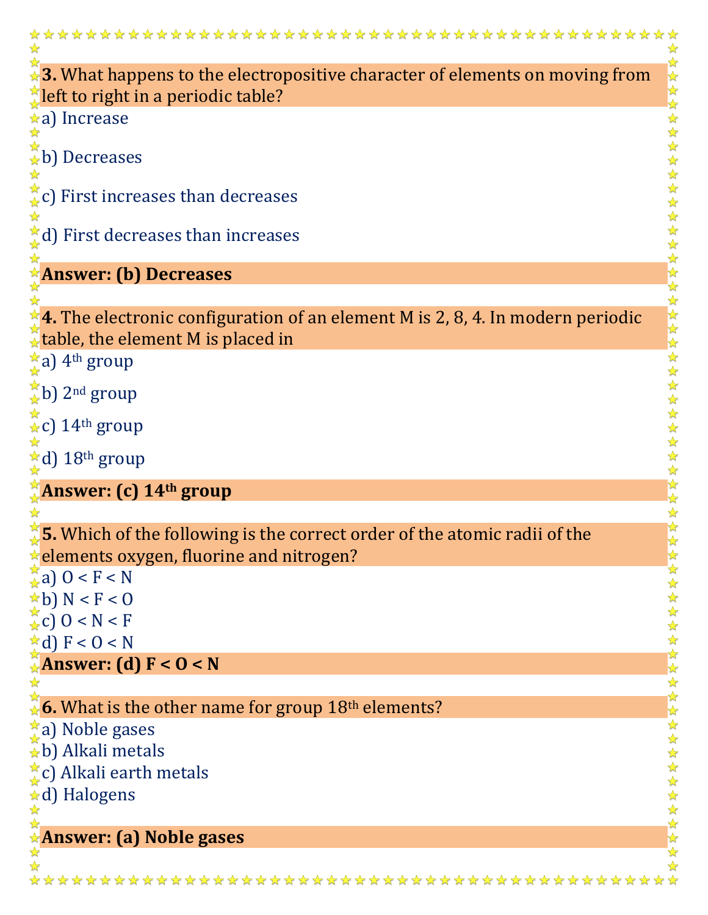| $\overleftrightarrow{a}$ 3. What happens to the electropositive character of elements on moving from |              |
|------------------------------------------------------------------------------------------------------|--------------|
| $\mathbb{Z}$ left to right in a periodic table?                                                      |              |
| a) Increase                                                                                          |              |
|                                                                                                      |              |
| $\mathbb{R}$ b) Decreases                                                                            |              |
|                                                                                                      |              |
| $\stackrel{*}{\star}$ c) First increases than decreases                                              |              |
| $\frac{1}{4}$ d) First decreases than increases                                                      |              |
|                                                                                                      |              |
| <b>Answer: (b) Decreases</b>                                                                         |              |
|                                                                                                      |              |
| $\bigcirc$ 4. The electronic configuration of an element M is 2, 8, 4. In modern periodic            |              |
| $\mathcal{R}$ table, the element M is placed in                                                      |              |
| $\frac{1}{k}$ a) 4 <sup>th</sup> group                                                               |              |
| $\frac{1}{\sqrt{\kappa}}$ b) 2 <sup>nd</sup> group                                                   |              |
|                                                                                                      |              |
| $\chi$ c) 14 <sup>th</sup> group                                                                     |              |
| Ad) 18th group                                                                                       |              |
|                                                                                                      |              |
| <b>Answer: (c) 14th group</b>                                                                        |              |
|                                                                                                      |              |
| $\sqrt[3]{5}$ . Which of the following is the correct order of the atomic radii of the               |              |
| $\star$ elements oxygen, fluorine and nitrogen?                                                      |              |
| $\frac{1}{24}$ a) 0 < F < N<br>$\star$ b) N < F < 0                                                  |              |
| $\frac{1}{2}c$ 0 < N < F                                                                             |              |
| $\star d$ ) F < 0 < N                                                                                |              |
| Answer: (d) $F < 0 < N$                                                                              |              |
|                                                                                                      |              |
| $\frac{2}{3}$ 6. What is the other name for group 18 <sup>th</sup> elements?                         |              |
| <b>☆a</b> ) Noble gases                                                                              |              |
| $\hat{a}$ b) Alkali metals                                                                           |              |
| ₹c) Alkali earth metals                                                                              |              |
| <b>☆d) Halogens</b>                                                                                  |              |
| $\frac{1}{\sqrt{2}}$                                                                                 | 女女女女女女女女女女女女 |
| <b>Answer: (a) Noble gases</b>                                                                       |              |
|                                                                                                      |              |
|                                                                                                      |              |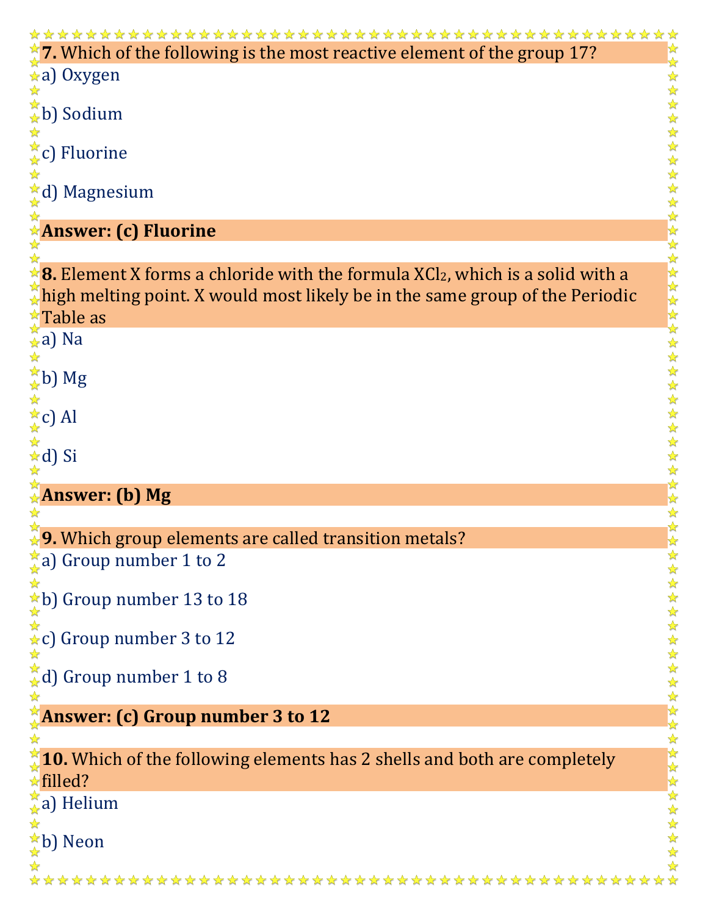| $\chi$ 7. Which of the following is the most reactive element of the group 17?                           |                        |
|----------------------------------------------------------------------------------------------------------|------------------------|
| a) Oxygen                                                                                                |                        |
|                                                                                                          |                        |
| $\overleftrightarrow{\star}$ b) Sodium                                                                   | *********************  |
| $\frac{1}{\sqrt{\lambda}}$ c) Fluorine                                                                   |                        |
|                                                                                                          |                        |
| $\star$ d) Magnesium                                                                                     |                        |
| <b>Answer: (c) Fluorine</b>                                                                              |                        |
|                                                                                                          |                        |
| $\angle$ 8. Element X forms a chloride with the formula XCl <sub>2</sub> , which is a solid with a       |                        |
| $\mathcal{R}$ high melting point. X would most likely be in the same group of the Periodic               |                        |
| $\sqrt[4]{$ Table as                                                                                     |                        |
| $\hat{A}$ a) Na                                                                                          |                        |
| $\frac{1}{\sqrt{\lambda}}$ b) Mg                                                                         | $\frac{1}{2}$<br>☆     |
|                                                                                                          | ☆<br>$\frac{1}{2}$     |
| $\frac{1}{\sqrt{x}}$ c) Al                                                                               |                        |
| ☆d) Si                                                                                                   |                        |
| <b>Answer: (b) Mg</b>                                                                                    | 外外外外外外                 |
|                                                                                                          |                        |
| <b>9.</b> Which group elements are called transition metals?                                             | 外外外                    |
| $\star$ a) Group number 1 to 2                                                                           |                        |
|                                                                                                          |                        |
| $\frac{1}{\star}$ b) Group number 13 to 18<br>$\star$<br>$\star$ c) Group number 3 to 12                 |                        |
|                                                                                                          |                        |
| $\star$ d) Group number 1 to 8                                                                           |                        |
|                                                                                                          |                        |
| $\frac{\pi}{4}$ Answer: (c) Group number 3 to 12                                                         | 女女女女女女女女女女女女女女女女女女女女女女 |
|                                                                                                          |                        |
| $\sqrt[3]{10}$ . Which of the following elements has 2 shells and both are completely<br>$\star$ filled? |                        |
| $\frac{\pi}{4}$ a) Helium                                                                                |                        |
|                                                                                                          |                        |
|                                                                                                          |                        |
| ☆b) Neon                                                                                                 |                        |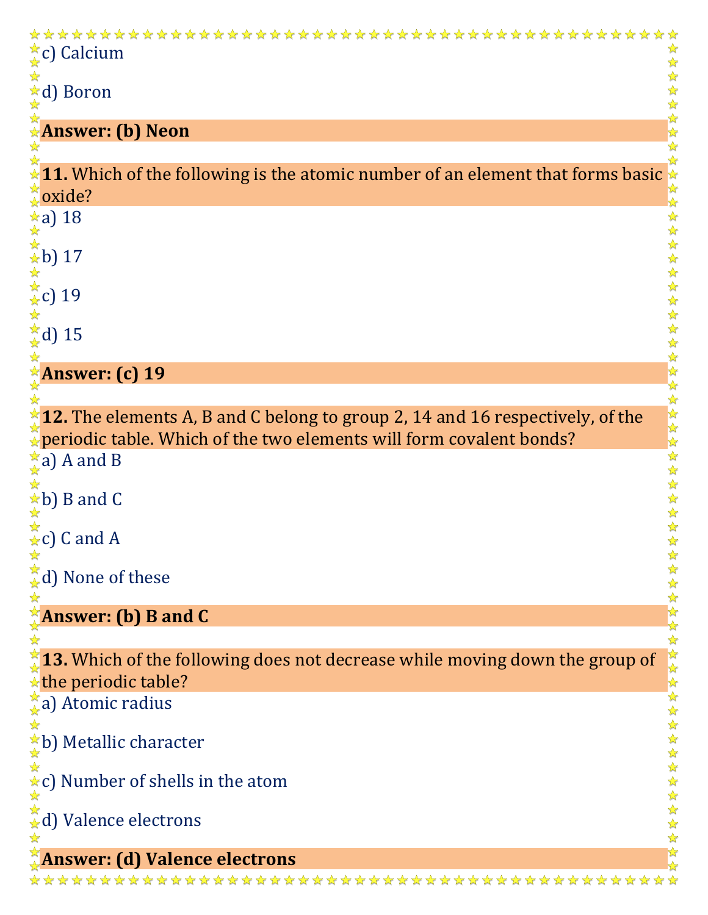| $\frac{1}{\alpha}$ c) Calcium                                                                  |       |
|------------------------------------------------------------------------------------------------|-------|
| $\frac{1}{\mathbf{k}}$ d) Boron                                                                |       |
| <b>Answer: (b) Neon</b>                                                                        |       |
|                                                                                                |       |
| $\star$ 11. Which of the following is the atomic number of an element that forms basic $\star$ |       |
| $\lambda$ oxide?                                                                               |       |
| $\frac{1}{2}$ a) 18                                                                            |       |
| <del>*</del><br>★b) 17<br>★<br>★c) 19<br>★<br>★d) 15                                           |       |
|                                                                                                |       |
|                                                                                                |       |
|                                                                                                |       |
|                                                                                                |       |
|                                                                                                |       |
| <b>Answer: (c) 19</b>                                                                          |       |
|                                                                                                |       |
| $\frac{1}{3}$ 12. The elements A, B and C belong to group 2, 14 and 16 respectively, of the    | ***** |
| $\mathbb{R}$ periodic table. Which of the two elements will form covalent bonds?               |       |
| $\frac{1}{\mathbf{A}}$ a) A and B                                                              |       |
| $\star$ b) B and C                                                                             |       |
|                                                                                                | 经经    |
| $\star$ c) C and A                                                                             |       |
|                                                                                                |       |
| $\stackrel{*}{\downarrow}$ d) None of these                                                    |       |
| $^{\star}$ Answer: (b) B and C                                                                 |       |
|                                                                                                |       |
| $\chi$ 13. Which of the following does not decrease while moving down the group of             |       |
| $\star$ the periodic table?                                                                    | 外外环   |
| $\frac{1}{2}$ a) Atomic radius                                                                 |       |
|                                                                                                |       |
| ★b) Metallic character                                                                         |       |
| <b>★c)</b> Number of shells in the atom                                                        |       |
|                                                                                                |       |
| $\stackrel{\leftrightarrow}{\star}$ d) Valence electrons                                       |       |
|                                                                                                |       |
| <b>Answer: (d) Valence electrons</b>                                                           |       |
|                                                                                                |       |